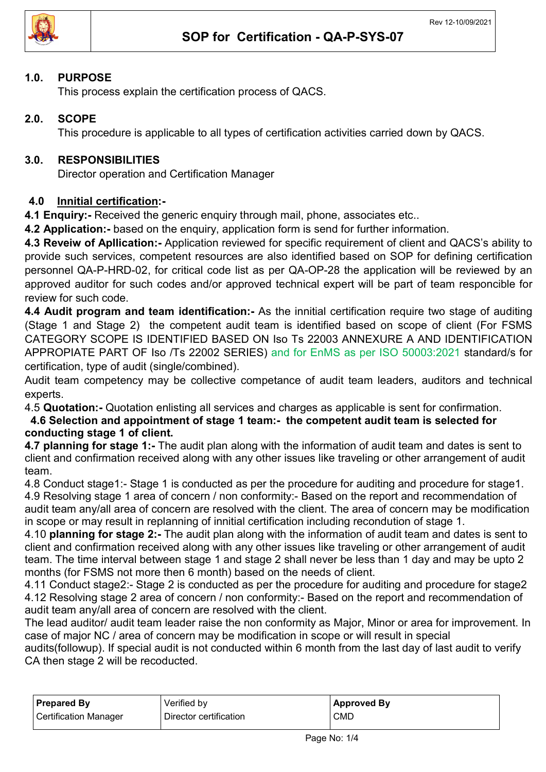

#### 1.0. PURPOSE

This process explain the certification process of QACS.

## 2.0. SCOPE

This procedure is applicable to all types of certification activities carried down by QACS.

### 3.0. RESPONSIBILITIES

Director operation and Certification Manager

### 4.0 Innitial certification:-

4.1 Enquiry: - Received the generic enquiry through mail, phone, associates etc..

4.2 Application:- based on the enquiry, application form is send for further information.

4.3 Reveiw of Apllication:- Application reviewed for specific requirement of client and QACS's ability to provide such services, competent resources are also identified based on SOP for defining certification personnel QA-P-HRD-02, for critical code list as per QA-OP-28 the application will be reviewed by an approved auditor for such codes and/or approved technical expert will be part of team responcible for review for such code.

4.4 Audit program and team identification:- As the innitial certification require two stage of auditing (Stage 1 and Stage 2) the competent audit team is identified based on scope of client (For FSMS CATEGORY SCOPE IS IDENTIFIED BASED ON Iso Ts 22003 ANNEXURE A AND IDENTIFICATION APPROPIATE PART OF Iso /Ts 22002 SERIES) and for EnMS as per ISO 50003:2021 standard/s for certification, type of audit (single/combined).

Audit team competency may be collective competance of audit team leaders, auditors and technical experts.

4.5 Quotation:- Quotation enlisting all services and charges as applicable is sent for confirmation.

 4.6 Selection and appointment of stage 1 team:- the competent audit team is selected for conducting stage 1 of client.

4.7 planning for stage 1:- The audit plan along with the information of audit team and dates is sent to client and confirmation received along with any other issues like traveling or other arrangement of audit team.

4.8 Conduct stage1:- Stage 1 is conducted as per the procedure for auditing and procedure for stage1. 4.9 Resolving stage 1 area of concern / non conformity:- Based on the report and recommendation of audit team any/all area of concern are resolved with the client. The area of concern may be modification in scope or may result in replanning of innitial certification including recondution of stage 1.

4.10 planning for stage 2:- The audit plan along with the information of audit team and dates is sent to client and confirmation received along with any other issues like traveling or other arrangement of audit team. The time interval between stage 1 and stage 2 shall never be less than 1 day and may be upto 2 months (for FSMS not more then 6 month) based on the needs of client.

4.11 Conduct stage2:- Stage 2 is conducted as per the procedure for auditing and procedure for stage2 4.12 Resolving stage 2 area of concern / non conformity:- Based on the report and recommendation of audit team any/all area of concern are resolved with the client.

The lead auditor/ audit team leader raise the non conformity as Major, Minor or area for improvement. In case of major NC / area of concern may be modification in scope or will result in special

audits(followup). If special audit is not conducted within 6 month from the last day of last audit to verify CA then stage 2 will be recoducted.

| <b>Prepared By</b>    | Verified by            | <b>Approved By</b> |
|-----------------------|------------------------|--------------------|
| Certification Manager | Director certification | <b>CMD</b>         |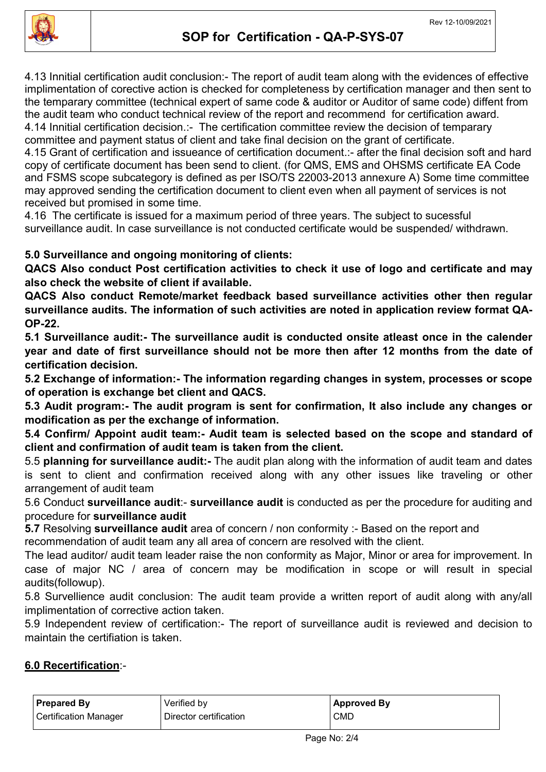

4.13 Innitial certification audit conclusion:- The report of audit team along with the evidences of effective implimentation of corective action is checked for completeness by certification manager and then sent to the temparary committee (technical expert of same code & auditor or Auditor of same code) diffent from the audit team who conduct technical review of the report and recommend for certification award. 4.14 Innitial certification decision.:- The certification committee review the decision of temparary committee and payment status of client and take final decision on the grant of certificate.

4.15 Grant of certification and issueance of certification document.:- after the final decision soft and hard copy of certificate document has been send to client. (for QMS, EMS and OHSMS certificate EA Code and FSMS scope subcategory is defined as per ISO/TS 22003-2013 annexure A) Some time committee may approved sending the certification document to client even when all payment of services is not received but promised in some time.

4.16 The certificate is issued for a maximum period of three years. The subject to sucessful surveillance audit. In case surveillance is not conducted certificate would be suspended/ withdrawn.

# 5.0 Surveillance and ongoing monitoring of clients:

QACS Also conduct Post certification activities to check it use of logo and certificate and may also check the website of client if available.

QACS Also conduct Remote/market feedback based surveillance activities other then regular surveillance audits. The information of such activities are noted in application review format QA-OP-22.

5.1 Surveillance audit:- The surveillance audit is conducted onsite atleast once in the calender year and date of first surveillance should not be more then after 12 months from the date of certification decision.

5.2 Exchange of information:- The information regarding changes in system, processes or scope of operation is exchange bet client and QACS.

5.3 Audit program:- The audit program is sent for confirmation, It also include any changes or modification as per the exchange of information.

5.4 Confirm/ Appoint audit team:- Audit team is selected based on the scope and standard of client and confirmation of audit team is taken from the client.

5.5 planning for surveillance audit:- The audit plan along with the information of audit team and dates is sent to client and confirmation received along with any other issues like traveling or other arrangement of audit team

5.6 Conduct surveillance audit:- surveillance audit is conducted as per the procedure for auditing and procedure for surveillance audit

5.7 Resolving surveillance audit area of concern / non conformity :- Based on the report and

recommendation of audit team any all area of concern are resolved with the client.

The lead auditor/ audit team leader raise the non conformity as Major, Minor or area for improvement. In case of major NC / area of concern may be modification in scope or will result in special audits(followup).

5.8 Survellience audit conclusion: The audit team provide a written report of audit along with any/all implimentation of corrective action taken.

5.9 Independent review of certification:- The report of surveillance audit is reviewed and decision to maintain the certifiation is taken.

### 6.0 Recertification:-

| <b>Prepared By</b>    | Verified by            | Approved By |
|-----------------------|------------------------|-------------|
| Certification Manager | Director certification | <b>CMD</b>  |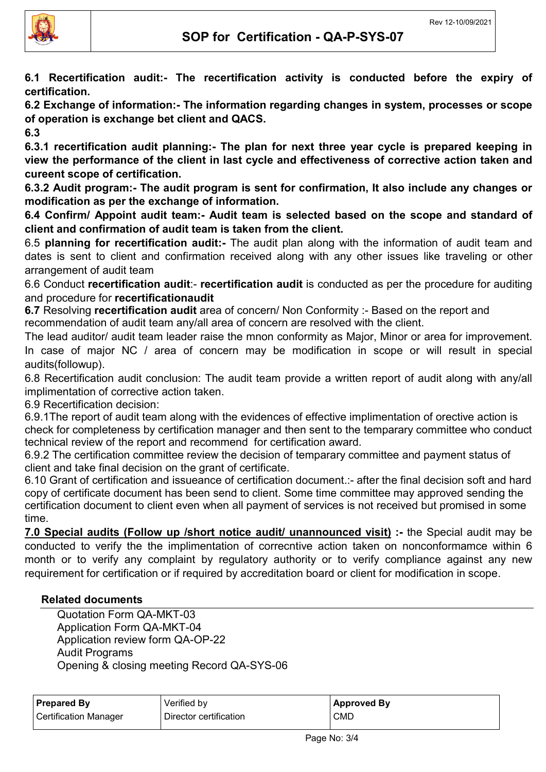

6.1 Recertification audit:- The recertification activity is conducted before the expiry of certification.

6.2 Exchange of information:- The information regarding changes in system, processes or scope of operation is exchange bet client and QACS.

6.3

6.3.1 recertification audit planning:- The plan for next three year cycle is prepared keeping in view the performance of the client in last cycle and effectiveness of corrective action taken and cureent scope of certification.

6.3.2 Audit program:- The audit program is sent for confirmation, It also include any changes or modification as per the exchange of information.

6.4 Confirm/ Appoint audit team:- Audit team is selected based on the scope and standard of client and confirmation of audit team is taken from the client.

6.5 planning for recertification audit:- The audit plan along with the information of audit team and dates is sent to client and confirmation received along with any other issues like traveling or other arrangement of audit team

6.6 Conduct recertification audit:- recertification audit is conducted as per the procedure for auditing and procedure for recertificationaudit

6.7 Resolving recertification audit area of concern/ Non Conformity :- Based on the report and recommendation of audit team any/all area of concern are resolved with the client.

The lead auditor/ audit team leader raise the mnon conformity as Major, Minor or area for improvement. In case of major NC / area of concern may be modification in scope or will result in special audits(followup).

6.8 Recertification audit conclusion: The audit team provide a written report of audit along with any/all implimentation of corrective action taken.

6.9 Recertification decision:

6.9.1The report of audit team along with the evidences of effective implimentation of orective action is check for completeness by certification manager and then sent to the temparary committee who conduct technical review of the report and recommend for certification award.

6.9.2 The certification committee review the decision of temparary committee and payment status of client and take final decision on the grant of certificate.

6.10 Grant of certification and issueance of certification document.:- after the final decision soft and hard copy of certificate document has been send to client. Some time committee may approved sending the certification document to client even when all payment of services is not received but promised in some time.

7.0 Special audits (Follow up /short notice audit/ unannounced visit) :- the Special audit may be conducted to verify the the implimentation of correcntive action taken on nonconformamce within 6 month or to verify any complaint by regulatory authority or to verify compliance against any new requirement for certification or if required by accreditation board or client for modification in scope.

### Related documents

Quotation Form QA-MKT-03 Application Form QA-MKT-04 Application review form QA-OP-22 Audit Programs Opening & closing meeting Record QA-SYS-06

| <b>Prepared By</b>    | Verified by            | <b>Approved By</b> |
|-----------------------|------------------------|--------------------|
| Certification Manager | Director certification | <b>CMD</b>         |